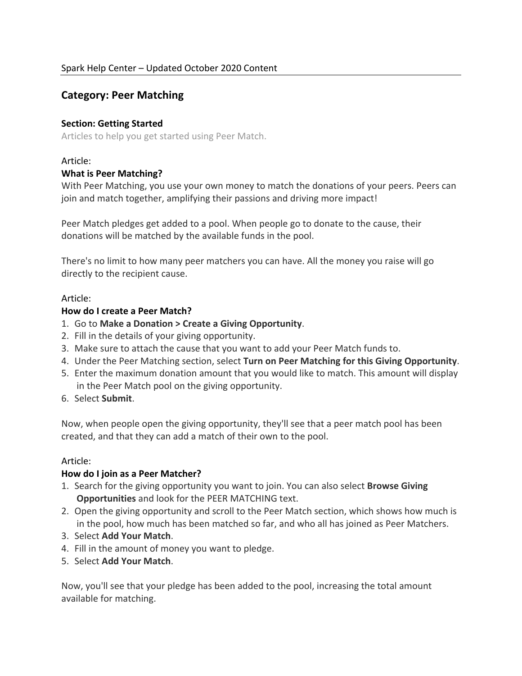## **Category: Peer Matching**

#### **Section: Getting Started**

Articles to help you get started using Peer Match.

#### Article:

#### **What is Peer Matching?**

With Peer Matching, you use your own money to match the donations of your peers. Peers can join and match together, amplifying their passions and driving more impact!

Peer Match pledges get added to a pool. When people go to donate to the cause, their donations will be matched by the available funds in the pool.

There's no limit to how many peer matchers you can have. All the money you raise will go directly to the recipient cause.

#### Article:

#### **How do I create a Peer Match?**

- 1. Go to **Make a Donation > Create a Giving Opportunity**.
- 2. Fill in the details of your giving opportunity.
- 3. Make sure to attach the cause that you want to add your Peer Match funds to.
- 4. Under the Peer Matching section, select **Turn on Peer Matching for this Giving Opportunity**.
- 5. Enter the maximum donation amount that you would like to match. This amount will display in the Peer Match pool on the giving opportunity.
- 6. Select **Submit**.

Now, when people open the giving opportunity, they'll see that a peer match pool has been created, and that they can add a match of their own to the pool.

#### Article:

#### **How do I join as a Peer Matcher?**

- 1. Search for the giving opportunity you want to join. You can also select **Browse Giving Opportunities** and look for the PEER MATCHING text.
- 2. Open the giving opportunity and scroll to the Peer Match section, which shows how much is in the pool, how much has been matched so far, and who all has joined as Peer Matchers.
- 3. Select **Add Your Match**.
- 4. Fill in the amount of money you want to pledge.
- 5. Select **Add Your Match**.

Now, you'll see that your pledge has been added to the pool, increasing the total amount available for matching.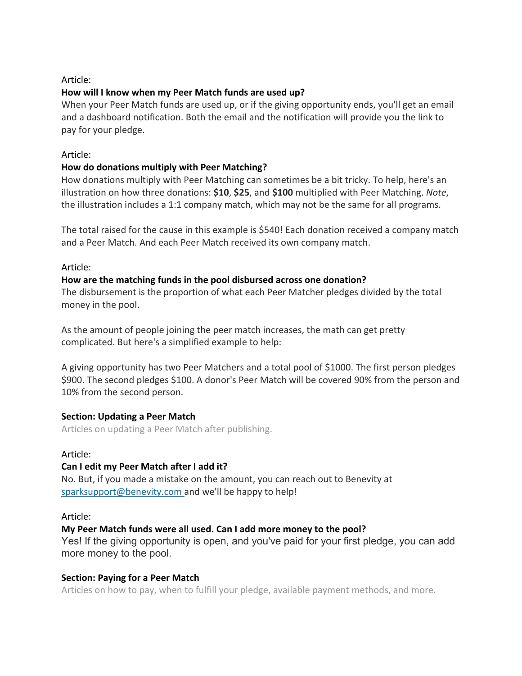## Article:

## **How will I know when my Peer Match funds are used up?**

When your Peer Match funds are used up, or if the giving opportunity ends, you'll get an email and a dashboard notification. Both the email and the notification will provide you the link to pay for your pledge.

#### Article:

## **How do donations multiply with Peer Matching?**

How donations multiply with Peer Matching can sometimes be a bit tricky. To help, here's an illustration on how three donations: **\$10**, **\$25**, and **\$100** multiplied with Peer Matching. *Note*, the illustration includes a 1:1 company match, which may not be the same for all programs.

The total raised for the cause in this example is \$540! Each donation received a company match and a Peer Match. And each Peer Match received its own company match.

## Article:

## **How are the matching funds in the pool disbursed across one donation?**

The disbursement is the proportion of what each Peer Matcher pledges divided by the total money in the pool.

As the amount of people joining the peer match increases, the math can get pretty complicated. But here's a simplified example to help:

A giving opportunity has two Peer Matchers and a total pool of \$1000. The first person pledges \$900. The second pledges \$100. A donor's Peer Match will be covered 90% from the person and 10% from the second person.

#### **Section: Updating a Peer Match**

Articles on updating a Peer Match after publishing.

#### Article:

## **Can I edit my Peer Match after I add it?**

No. But, if you made a mistake on the amount, you can reach out to Benevity at sparksupport@benevity.com and we'll be happy to help!

#### Article:

## **My Peer Match funds were all used. Can I add more money to the pool?**

Yes! If the giving opportunity is open, and you've paid for your first pledge, you can add more money to the pool.

## **Section: Paying for a Peer Match**

Articles on how to pay, when to fulfill your pledge, available payment methods, and more.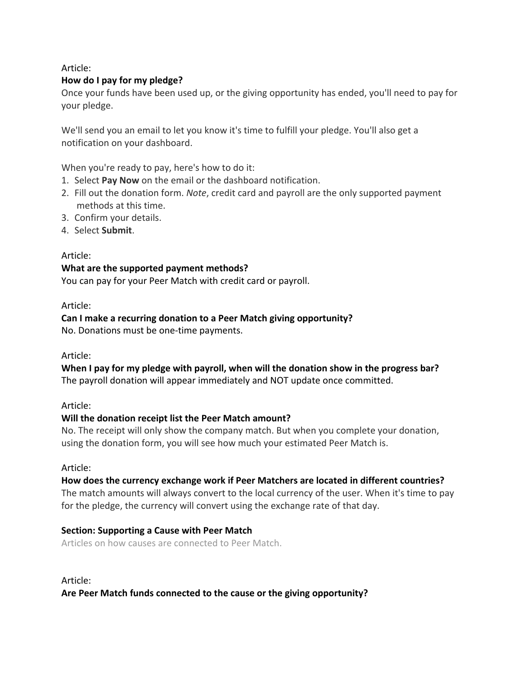Article:

## **How do I pay for my pledge?**

Once your funds have been used up, or the giving opportunity has ended, you'll need to pay for your pledge.

We'll send you an email to let you know it's time to fulfill your pledge. You'll also get a notification on your dashboard.

When you're ready to pay, here's how to do it:

- 1. Select **Pay Now** on the email or the dashboard notification.
- 2. Fill out the donation form. *Note*, credit card and payroll are the only supported payment methods at this time.
- 3. Confirm your details.
- 4. Select **Submit**.

## Article:

## **What are the supported payment methods?**

You can pay for your Peer Match with credit card or payroll.

#### Article:

#### **Can I make a recurring donation to a Peer Match giving opportunity?**

No. Donations must be one-time payments.

#### Article:

# **When I pay for my pledge with payroll, when will the donation show in the progress bar?**

The payroll donation will appear immediately and NOT update once committed.

## Article:

## **Will the donation receipt list the Peer Match amount?**

No. The receipt will only show the company match. But when you complete your donation, using the donation form, you will see how much your estimated Peer Match is.

#### Article:

## **How does the currency exchange work if Peer Matchers are located in different countries?**

The match amounts will always convert to the local currency of the user. When it's time to pay for the pledge, the currency will convert using the exchange rate of that day.

## **Section: Supporting a Cause with Peer Match**

Articles on how causes are connected to Peer Match.

Article: **Are Peer Match funds connected to the cause or the giving opportunity?**